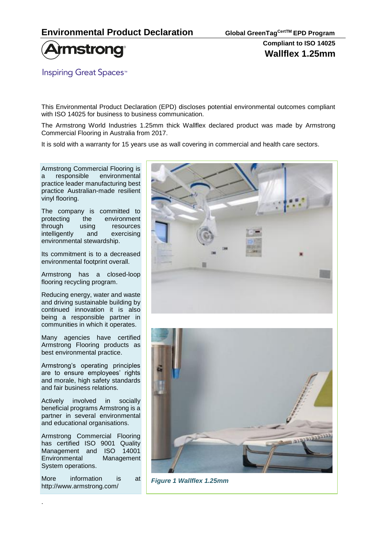

**Inspiring Great Spaces<sup>™</sup>** 

This Environmental Product Declaration (EPD) discloses potential environmental outcomes compliant with ISO 14025 for business to business communication.

The Armstrong World Industries 1.25mm thick Wallflex declared product was made by Armstrong Commercial Flooring in Australia from 2017.

It is sold with a warranty for 15 years use as wall covering in commercial and health care sectors.

Armstrong Commercial Flooring is a responsible environmental practice leader manufacturing best practice Australian-made resilient vinyl flooring.

The company is committed to protecting the environment through using resources intelligently and exercising environmental stewardship.

Its commitment is to a decreased environmental footprint overall.

Armstrong has a closed-loop flooring recycling program.

Reducing energy, water and waste and driving sustainable building by continued innovation it is also being a responsible partner in communities in which it operates.

Many agencies have certified Armstrong Flooring products as best environmental practice.

Armstrong's operating principles are to ensure employees' rights and morale, high safety standards and fair business relations.

Actively involved in socially beneficial programs Armstrong is a partner in several environmental and educational organisations.

Armstrong Commercial Flooring has certified ISO 9001 Quality Management and ISO 14001 Environmental Management System operations.

More information is at http://www.armstrong.com/

.





*Figure 1 Wallflex 1.25mm*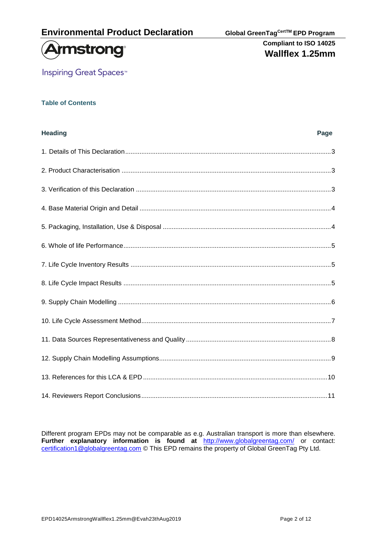

**Inspiring Great Spaces<sup>™</sup>** 

#### **Table of Contents**

| <b>Heading</b> | Page |
|----------------|------|
|                |      |
|                |      |
|                |      |
|                |      |
|                |      |
|                |      |
|                |      |
|                |      |
|                |      |
|                |      |
|                |      |
|                |      |
|                |      |
|                |      |

Different program EPDs may not be comparable as e.g. Australian transport is more than elsewhere. **Further explanatory information is found at** <http://www.globalgreentag.com/> or contact: [certification1@globalgreentag.com](mailto:certification1@globalgreentag.com) © This EPD remains the property of Global GreenTag Pty Ltd.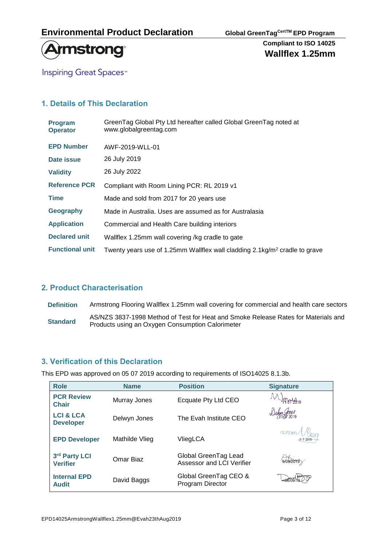

**Inspiring Great Spaces<sup>™</sup>** 

## **1. Details of This Declaration**

| <b>Program</b><br><b>Operator</b> | GreenTag Global Pty Ltd hereafter called Global GreenTag noted at<br>www.globalgreentag.com |
|-----------------------------------|---------------------------------------------------------------------------------------------|
| <b>EPD Number</b>                 | AWF-2019-WLL-01                                                                             |
| Date issue                        | 26 July 2019                                                                                |
| <b>Validity</b>                   | 26 July 2022                                                                                |
| <b>Reference PCR</b>              | Compliant with Room Lining PCR: RL 2019 v1                                                  |
| <b>Time</b>                       | Made and sold from 2017 for 20 years use                                                    |
| Geography                         | Made in Australia. Uses are assumed as for Australasia                                      |
| <b>Application</b>                | Commercial and Health Care building interiors                                               |
| <b>Declared unit</b>              | Wallflex 1.25mm wall covering /kg cradle to gate                                            |
| <b>Functional unit</b>            | Twenty years use of 1.25mm Wallflex wall cladding 2.1 kg/m <sup>2</sup> cradle to grave     |

## **2. Product Characterisation**

**Definition** Armstrong Flooring Wallflex 1.25mm wall covering for commercial and health care sectors AS/NZS 3837-1998 Method of Test for Heat and Smoke Release Rates for Materials and<br> **Standard** Products using an Owgan Consumption Colorimates Products using an Oxygen Consumption Calorimeter

## **3. Verification of this Declaration**

This EPD was approved on 05 07 2019 according to requirements of ISO14025 8.1.3b.

| <b>Role</b>                              | <b>Name</b>    | <b>Position</b>                                   | <b>Signature</b>    |
|------------------------------------------|----------------|---------------------------------------------------|---------------------|
| <b>PCR Review</b><br><b>Chair</b>        | Murray Jones   | Ecquate Pty Ltd CEO                               |                     |
| <b>LCI &amp; LCA</b><br><b>Developer</b> | Delwyn Jones   | The Evah Institute CEO                            | Jehyn Jones         |
| <b>EPD Developer</b>                     | Mathilde Vlieg | VliegLCA                                          | $amm^{10}_{472019}$ |
| 3rd Party LCI<br><b>Verifier</b>         | Omar Biaz      | Global GreenTag Lead<br>Assessor and LCI Verifier | 50972095            |
| <b>Internal EPD</b><br><b>Audit</b>      | David Baggs    | Global GreenTag CEO &<br>Program Director         |                     |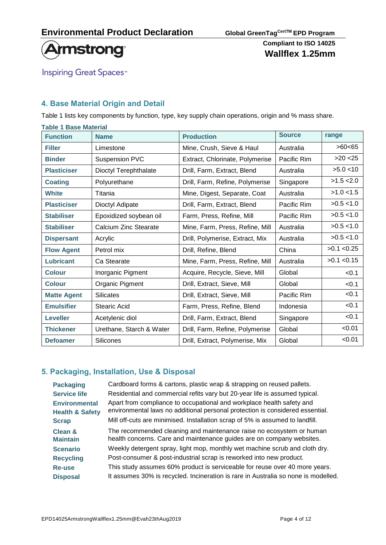

**Inspiring Great Spaces<sup>™</sup>** 

## **4. Base Material Origin and Detail**

Table 1 lists key components by function, type, key supply chain operations, origin and % mass share.

| <b>Table 1 Base Material</b> |                          |                                 |             |              |
|------------------------------|--------------------------|---------------------------------|-------------|--------------|
| <b>Function</b>              | <b>Name</b>              | <b>Source</b>                   | range       |              |
| <b>Filler</b>                | Limestone                | Mine, Crush, Sieve & Haul       | Australia   | >60<65       |
| <b>Binder</b>                | <b>Suspension PVC</b>    | Extract, Chlorinate, Polymerise | Pacific Rim | $>20$ < 25   |
| <b>Plasticiser</b>           | Dioctyl Terephthalate    | Drill, Farm, Extract, Blend     | Australia   | >5.0 < 10    |
| <b>Coating</b>               | Polyurethane             | Drill, Farm, Refine, Polymerise | Singapore   | >1.5 < 2.0   |
| <b>White</b>                 | Titania                  | Mine, Digest, Separate, Coat    | Australia   | $>1.0$ < 1.5 |
| <b>Plasticiser</b>           | Dioctyl Adipate          | Drill, Farm, Extract, Blend     | Pacific Rim | >0.5 < 1.0   |
| <b>Stabiliser</b>            | Epoxidized soybean oil   | Farm, Press, Refine, Mill       | Pacific Rim | >0.5 < 1.0   |
| <b>Stabiliser</b>            | Calcium Zinc Stearate    | Mine, Farm, Press, Refine, Mill | Australia   | >0.5 < 1.0   |
| <b>Dispersant</b>            | Acrylic                  | Drill, Polymerise, Extract, Mix | Australia   | >0.5 < 1.0   |
| <b>Flow Agent</b>            | Petrol mix               | Drill, Refine, Blend            | China       | >0.1 < 0.25  |
| <b>Lubricant</b>             | Ca Stearate              | Mine, Farm, Press, Refine, Mill | Australia   | >0.1 < 0.15  |
| <b>Colour</b>                | Inorganic Pigment        | Acquire, Recycle, Sieve, Mill   | Global      | < 0.1        |
| <b>Colour</b>                | Organic Pigment          | Drill, Extract, Sieve, Mill     | Global      | < 0.1        |
| <b>Matte Agent</b>           | <b>Silicates</b>         | Drill, Extract, Sieve, Mill     | Pacific Rim | < 0.1        |
| <b>Emulsifier</b>            | <b>Stearic Acid</b>      | Farm, Press, Refine, Blend      | Indonesia   | < 0.1        |
| <b>Leveller</b>              | Acetylenic diol          | Drill, Farm, Extract, Blend     | Singapore   | < 0.1        |
| <b>Thickener</b>             | Urethane, Starch & Water | Drill, Farm, Refine, Polymerise | Global      | < 0.01       |
| <b>Defoamer</b>              | Silicones                | Drill, Extract, Polymerise, Mix | Global      | < 0.01       |

### **5. Packaging, Installation, Use & Disposal**

| <b>Packaging</b>                                   | Cardboard forms & cartons, plastic wrap & strapping on reused pallets.                                                                                            |
|----------------------------------------------------|-------------------------------------------------------------------------------------------------------------------------------------------------------------------|
| <b>Service life</b>                                | Residential and commercial refits vary but 20-year life is assumed typical.                                                                                       |
| <b>Environmental</b><br><b>Health &amp; Safety</b> | Apart from compliance to occupational and workplace health safety and<br>environmental laws no additional personal protection is considered essential.            |
| <b>Scrap</b>                                       | Mill off-cuts are minimised. Installation scrap of 5% is assumed to landfill.                                                                                     |
| <b>Clean &amp;</b><br><b>Maintain</b>              | The recommended cleaning and maintenance raise no ecosystem or human<br>health concerns. Care and maintenance guides are on company websites.                     |
| <b>Scenario</b>                                    | Weekly detergent spray, light mop, monthly wet machine scrub and cloth dry.                                                                                       |
| <b>Recycling</b>                                   | Post-consumer & post-industrial scrap is reworked into new product.                                                                                               |
| <b>Re-use</b><br><b>Disposal</b>                   | This study assumes 60% product is serviceable for reuse over 40 more years.<br>It assumes 30% is recycled. Incineration is rare in Australia so none is modelled. |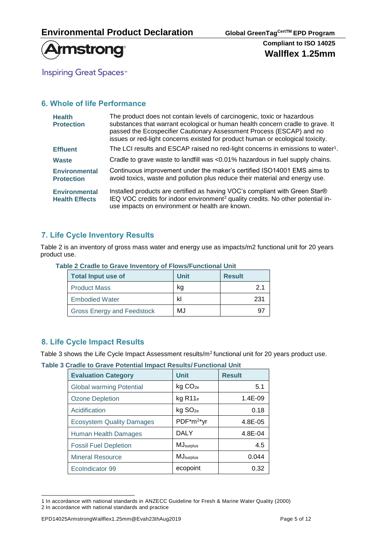

**Inspiring Great Spaces<sup>™</sup>** 

## **6. Whole of life Performance**

| <b>Health</b><br><b>Protection</b>            | The product does not contain levels of carcinogenic, toxic or hazardous<br>substances that warrant ecological or human health concern cradle to grave. It<br>passed the Ecospecifier Cautionary Assessment Process (ESCAP) and no<br>issues or red-light concerns existed for product human or ecological toxicity. |
|-----------------------------------------------|---------------------------------------------------------------------------------------------------------------------------------------------------------------------------------------------------------------------------------------------------------------------------------------------------------------------|
| <b>Effluent</b>                               | The LCI results and ESCAP raised no red-light concerns in emissions to water <sup>1</sup> .                                                                                                                                                                                                                         |
| <b>Waste</b>                                  | Cradle to grave waste to landfill was <0.01% hazardous in fuel supply chains.                                                                                                                                                                                                                                       |
| <b>Environmental</b><br><b>Protection</b>     | Continuous improvement under the maker's certified ISO14001 EMS aims to<br>avoid toxics, waste and pollution plus reduce their material and energy use.                                                                                                                                                             |
| <b>Environmental</b><br><b>Health Effects</b> | Installed products are certified as having VOC's compliant with Green Star®<br>IEQ VOC credits for indoor environment <sup>2</sup> quality credits. No other potential in-<br>use impacts on environment or health are known.                                                                                       |

### **7. Life Cycle Inventory Results**

Table 2 is an inventory of gross mass water and energy use as impacts/m2 functional unit for 20 years product use.

| <b>Total Input use of</b>         | <b>Unit</b> | <b>Result</b> |
|-----------------------------------|-------------|---------------|
| <b>Product Mass</b>               | kq          | 2.1           |
| <b>Embodied Water</b>             | kl          | 231           |
| <b>Gross Energy and Feedstock</b> | MJ          |               |

#### **Table 2 Cradle to Grave Inventory of Flows/Functional Unit**

### **8. Life Cycle Impact Results**

Table 3 shows the Life Cycle Impact Assessment results/m<sup>2</sup> functional unit for 20 years product use.

**Table 3 Cradle to Grave Potential Impact Results/ Functional Unit**

| <b>Evaluation Category</b>       | <b>Unit</b>            | <b>Result</b> |
|----------------------------------|------------------------|---------------|
| <b>Global warming Potential</b>  | kg CO <sub>2e</sub>    | 5.1           |
| <b>Ozone Depletion</b>           | $kg$ R11 $_e$          | $1.4E-09$     |
| Acidification                    | kg SO <sub>2e</sub>    | 0.18          |
| <b>Ecosystem Quality Damages</b> | PDF*m <sup>2*</sup> yr | 4.8E-05       |
| <b>Human Health Damages</b>      | DALY                   | 4.8E-04       |
| <b>Fossil Fuel Depletion</b>     | MJ <sub>surplus</sub>  | 4.5           |
| <b>Mineral Resource</b>          | MJsurplus              | 0.044         |
| EcoIndicator 99                  | ecopoint               | 0.32          |

<sup>1</sup> In accordance with national standards in ANZECC Guideline for Fresh & Marine Water Quality (2000) 2 In accordance with national standards and practice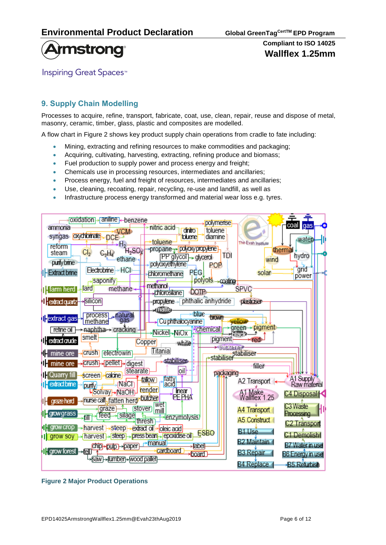



**Inspiring Great Spaces<sup>™</sup>** 

## **9. Supply Chain Modelling**

Processes to acquire, refine, transport, fabricate, coat, use, clean, repair, reuse and dispose of metal, masonry, ceramic, timber, glass, plastic and composites are modelled.

A flow chart in Figure 2 shows key product supply chain operations from cradle to fate including:

- Mining, extracting and refining resources to make commodities and packaging;
- Acquiring, cultivating, harvesting, extracting, refining produce and biomass;
- Fuel production to supply power and process energy and freight;
- Chemicals use in processing resources, intermediates and ancillaries;
- Process energy, fuel and freight of resources, intermediates and ancillaries;
- Use, cleaning, recoating, repair, recycling, re-use and landfill, as well as
- Infrastructure process energy transformed and material wear loss e.g. tyres.

| oxidation→ aniline - benzene<br>polymerise                                                                          | coal                      |
|---------------------------------------------------------------------------------------------------------------------|---------------------------|
| nitric acid<br>ammonia<br>dinitro<br>toluene<br><b>VCM</b>                                                          | gas                       |
| syngas oxychlomate<br>toluene <mark>l</mark><br>diamine<br>DCE-<br>toluene<br>The Evah Institute                    | water                     |
| Η,<br>reform<br>propane Polyoxypropylene<br>thermal<br>$H_2SO_4$<br>Cl <sub>2</sub><br>steam                        |                           |
| $C_2H_2$<br>TDI<br>(PP giyco∏→ glycerol)<br>ethane<br>wind                                                          | hydro                     |
| purify brine<br>polyoxyethylene<br>POP<br>Electrobrine<br>→ HCI                                                     | grid                      |
| <b>I-Extract brine</b><br>PEG<br>solar<br>chloromethane                                                             | power                     |
| polyols coafing<br>saponify<br>methanol.<br>methane<br>SPVC<br>lard                                                 |                           |
| <b>T</b> : farm herd<br>DOTP<br>.chlorosilane                                                                       |                           |
| propylene - phthalic anhydride<br><b>I</b> extract quartz<br>Silicon<br>plasticiser                                 |                           |
| <b>Maile</b><br>blue<br>process <sub>a</sub> natural                                                                |                           |
| <b>P</b> extract gas<br>brown<br>gas<br>Cu phthalocyanine<br>methane<br>vellow                                      |                           |
| $green \rightarrow$ pigment<br><b>Achemical</b><br>refine oil → naphtha→ cracking<br>Nickel-NiOx<br>zblack          |                           |
| smelt<br>pigment<br>$\mathbf{I}$ extract crude<br>red<br><b>Copper</b><br>white                                     |                           |
| <b>*ibickener</b><br><b>Titania</b><br>crush electrowin                                                             |                           |
| <b>1</b> mine ore<br>stabiliser<br>stabiliser                                                                       |                           |
| $\blacksquare$ mine ore $\rightarrow$ crush $\rightarrow$ pellet $\rightarrow$ digest<br>filler<br>oil-<br>stearate |                           |
| packaging<br>Cuarry fill<br>screen-calcine<br>tallow                                                                |                           |
| fatty<br>acid<br>A2 Transport<br>NaCl<br>extractbrine<br>purify                                                     | A1 Supply<br>Raw material |
| Solvay NaOH render<br>Tinear<br>PEPHA<br>A1 Make<br>Waliflex 1.25                                                   | C4 Disposal <sup>1</sup>  |
| nurse call, fatten herd butcher<br><b>I</b> grazeherd<br>wet                                                        | C <sub>3</sub> Waste      |
| stover)<br><b>graze</b><br>A4 Transport<br>mill<br>[Egrowgrass]<br>silage<br>feed                                   | <b>Processing</b>         |
| fill<br>enzymolysis<br>A5 Construct<br>thresh                                                                       | C <sub>2</sub> Transport  |
| $\prod$ grow crop<br>harvest → steep → extract of<br>oleic acid<br>B <sub>1</sub> Use<br>ESBO                       | C1 Demolish               |
| harvest)→ steep → press bean → repoxidise oil<br>I grow soy<br>B2 Maintain<br>→manual                               |                           |
| <b>Chip→pulp</b> →paper<br><b>label</b><br>cardboard<br>1  grow forest → all<br><b>B3 Repair</b>                    | B7 Water in use           |
| board<br>•§aw}→fumber}→wood pallet)                                                                                 | <b>B6 Energy in use</b>   |
| <b>B4 Replace</b>                                                                                                   | <b>B5 Refurbish</b>       |

**Figure 2 Major Product Operations**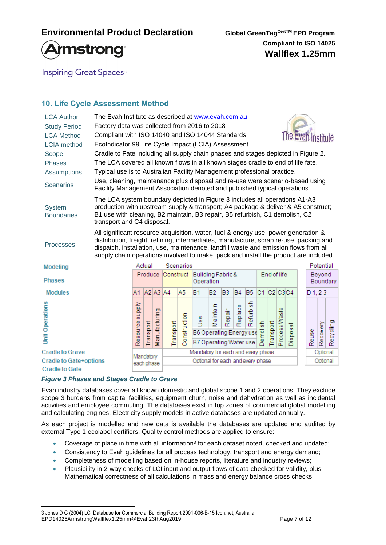

**Inspiring Great Spaces<sup>™</sup>** 

# **10. Life Cycle Assessment Method**

| <b>LCA Author</b><br><b>Study Period</b><br><b>LCA Method</b><br><b>LCIA</b> method | The Evah Institute as described at www.evah.com.au<br>Factory data was collected from 2016 to 2018<br>The Evan Institute<br>Compliant with ISO 14040 and ISO 14044 Standards<br>EcoIndicator 99 Life Cycle Impact (LCIA) Assessment                                                                                                                          |                                                                                   |           |                |                                   |              |                                                        |                |        |           |           |             |             |               |          |                    |           |           |
|-------------------------------------------------------------------------------------|--------------------------------------------------------------------------------------------------------------------------------------------------------------------------------------------------------------------------------------------------------------------------------------------------------------------------------------------------------------|-----------------------------------------------------------------------------------|-----------|----------------|-----------------------------------|--------------|--------------------------------------------------------|----------------|--------|-----------|-----------|-------------|-------------|---------------|----------|--------------------|-----------|-----------|
| Scope                                                                               |                                                                                                                                                                                                                                                                                                                                                              | Cradle to Fate including all supply chain phases and stages depicted in Figure 2. |           |                |                                   |              |                                                        |                |        |           |           |             |             |               |          |                    |           |           |
| <b>Phases</b>                                                                       | The LCA covered all known flows in all known stages cradle to end of life fate.                                                                                                                                                                                                                                                                              |                                                                                   |           |                |                                   |              |                                                        |                |        |           |           |             |             |               |          |                    |           |           |
| <b>Assumptions</b>                                                                  | Typical use is to Australian Facility Management professional practice.                                                                                                                                                                                                                                                                                      |                                                                                   |           |                |                                   |              |                                                        |                |        |           |           |             |             |               |          |                    |           |           |
| <b>Scenarios</b>                                                                    | Use, cleaning, maintenance plus disposal and re-use were scenario-based using<br>Facility Management Association denoted and published typical operations.                                                                                                                                                                                                   |                                                                                   |           |                |                                   |              |                                                        |                |        |           |           |             |             |               |          |                    |           |           |
| <b>System</b><br><b>Boundaries</b>                                                  | The LCA system boundary depicted in Figure 3 includes all operations A1-A3<br>production with upstream supply & transport; A4 package & deliver & A5 construct;<br>B1 use with cleaning, B2 maintain, B3 repair, B5 refurbish, C1 demolish, C2<br>transport and C4 disposal.                                                                                 |                                                                                   |           |                |                                   |              |                                                        |                |        |           |           |             |             |               |          |                    |           |           |
| <b>Processes</b>                                                                    | All significant resource acquisition, water, fuel & energy use, power generation &<br>distribution, freight, refining, intermediates, manufacture, scrap re-use, packing and<br>dispatch, installation, use, maintenance, landfill waste and emission flows from all<br>supply chain operations involved to make, pack and install the product are included. |                                                                                   |           |                |                                   |              |                                                        |                |        |           |           |             |             |               |          |                    |           |           |
| Modeling                                                                            |                                                                                                                                                                                                                                                                                                                                                              |                                                                                   | Actual    |                |                                   | Scenarios    |                                                        |                |        |           |           |             |             |               |          |                    | Potential |           |
| <b>Phases</b>                                                                       |                                                                                                                                                                                                                                                                                                                                                              |                                                                                   | Produce   |                | Construct                         |              | Building Fabric &<br>Operation                         |                |        |           |           |             | End of life |               |          | Beyond<br>Boundary |           |           |
| <b>Modules</b>                                                                      |                                                                                                                                                                                                                                                                                                                                                              | A1.                                                                               |           | $A2$ $A3$ $A4$ |                                   | A5           | <b>B1</b>                                              | B <sub>2</sub> | B3     | <b>B4</b> | <b>B5</b> | C1 C2 C3C4  |             |               |          | D1.23              |           |           |
| <b>Unit Operations</b>                                                              |                                                                                                                                                                                                                                                                                                                                                              | Resource supply                                                                   | Transport | Manufacturing  | Transport                         | Construction | š<br>B6 Operating Energy use<br>B7 Operating Water use | aintain<br>53  | Repair | Replace   | Refurbish | molish<br>홍 | Fransport   | Process Waste | Disposal | Reuse              | Recovery  | Recycling |
| <b>Cradle to Grave</b>                                                              |                                                                                                                                                                                                                                                                                                                                                              | Mandatory                                                                         |           |                |                                   |              | Mandatory for each and every phase                     |                |        |           |           |             |             |               |          |                    | Optional  |           |
| <b>Cradle to Gate+options</b><br><b>Cradle to Gate</b>                              |                                                                                                                                                                                                                                                                                                                                                              | each phase                                                                        |           |                | Optional for each and every phase |              |                                                        |                |        |           |           |             | Optional    |               |          |                    |           |           |

### *Figure 3 Phases and Stages Cradle to Grave*

Evah industry databases cover all known domestic and global scope 1 and 2 operations. They exclude scope 3 burdens from capital facilities, equipment churn, noise and dehydration as well as incidental activities and employee commuting. The databases exist in top zones of commercial global modelling and calculating engines. Electricity supply models in active databases are updated annually.

As each project is modelled and new data is available the databases are updated and audited by external Type 1 ecolabel certifiers. Quality control methods are applied to ensure:

- Coverage of place in time with all information<sup>3</sup> for each dataset noted, checked and updated;
- Consistency to Evah guidelines for all process technology, transport and energy demand;
- Completeness of modelling based on in-house reports, literature and industry reviews;
- Plausibility in 2-way checks of LCI input and output flows of data checked for validity, plus Mathematical correctness of all calculations in mass and energy balance cross checks.

EPD14025ArmstrongWallflex1.25mm@Evah23thAug2019 Page 7 of 12 3 Jones D G (2004) LCI Database for Commercial Building Report 2001-006-B-15 Icon.net, Australia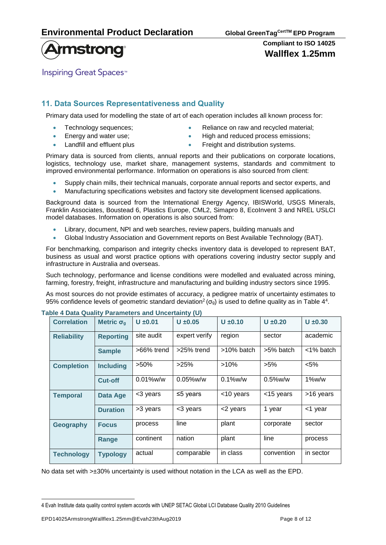

**Inspiring Great Spaces**<sup>™</sup>

# **11. Data Sources Representativeness and Quality**

Primary data used for modelling the state of art of each operation includes all known process for:

- 
- 
- Technology sequences; Reliance on raw and recycled material;
	- **Energy and water use;**  High and reduced process emissions;
	- Landfill and effluent plus **•** Freight and distribution systems.

Primary data is sourced from clients, annual reports and their publications on corporate locations, logistics, technology use, market share, management systems, standards and commitment to improved environmental performance. Information on operations is also sourced from client:

- Supply chain mills, their technical manuals, corporate annual reports and sector experts, and
- Manufacturing specifications websites and factory site development licensed applications.

Background data is sourced from the International Energy Agency, IBISWorld, USGS Minerals, Franklin Associates, Boustead 6, Plastics Europe, CML2, Simapro 8, EcoInvent 3 and NREL USLCI model databases. Information on operations is also sourced from:

- Library, document, NPI and web searches, review papers, building manuals and
- Global Industry Association and Government reports on Best Available Technology (BAT).

For benchmarking, comparison and integrity checks inventory data is developed to represent BAT, business as usual and worst practice options with operations covering industry sector supply and infrastructure in Australia and overseas.

Such technology, performance and license conditions were modelled and evaluated across mining, farming, forestry, freight, infrastructure and manufacturing and building industry sectors since 1995.

As most sources do not provide estimates of accuracy, a pedigree matrix of uncertainty estimates to 95% confidence levels of geometric standard deviation<sup>2</sup> ( $\sigma_g$ ) is used to define quality as in Table 4<sup>4</sup>.

| <b>Correlation</b> | Metric $\sigma_q$ | $U \pm 0.01$               | $U \pm 0.05$   | $U \pm 0.10$  | $U \pm 0.20$ | $U \pm 0.30$ |
|--------------------|-------------------|----------------------------|----------------|---------------|--------------|--------------|
| <b>Reliability</b> | <b>Reporting</b>  | site audit                 | expert verify  | region        | sector       | academic     |
|                    | <b>Sample</b>     | >66% trend                 | >25% trend     | $>10\%$ batch | >5% batch    | <1% batch    |
| <b>Completion</b>  | <b>Including</b>  | $>50\%$<br>>25%<br>$>10\%$ |                | $>5\%$        | $< 5\%$      |              |
|                    | <b>Cut-off</b>    | $0.01\%$ w/w               | $0.05\%$ w/w   | $0.1\%$ w/w   | $0.5\%$ w/w  | $1\%$ w/w    |
| <b>Temporal</b>    | <b>Data Age</b>   | <3 years                   | $\leq$ 5 years | <10 years     | <15 years    | >16 years    |
|                    | <b>Duration</b>   | >3 years                   | <3 years       | <2 years      | 1 year       | <1 year      |
| Geography          | <b>Focus</b>      | process                    | line           | plant         | corporate    | sector       |
|                    | Range             | continent                  | nation         | plant         | line         | process      |
| <b>Technology</b>  | <b>Typology</b>   | actual                     | comparable     | in class      | convention   | in sector    |

#### **Table 4 Data Quality Parameters and Uncertainty (U)**

No data set with >±30% uncertainty is used without notation in the LCA as well as the EPD.

<sup>4</sup> Evah Institute data quality control system accords with UNEP SETAC Global LCI Database Quality 2010 Guidelines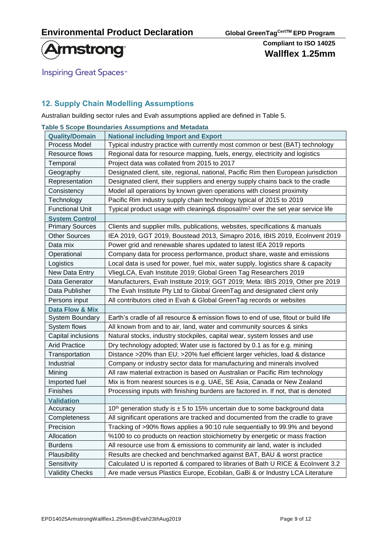

**Inspiring Great Spaces<sup>™</sup>** 

## **12. Supply Chain Modelling Assumptions**

Australian building sector rules and Evah assumptions applied are defined in Table 5.

|                        | <b>Table 5 Scope Boundaries Assumptions and Metadata</b>                                    |
|------------------------|---------------------------------------------------------------------------------------------|
| <b>Quality/Domain</b>  | <b>National including Import and Export</b>                                                 |
| Process Model          | Typical industry practice with currently most common or best (BAT) technology               |
| Resource flows         | Regional data for resource mapping, fuels, energy, electricity and logistics                |
| Temporal               | Project data was collated from 2015 to 2017                                                 |
| Geography              | Designated client, site, regional, national, Pacific Rim then European jurisdiction         |
| Representation         | Designated client, their suppliers and energy supply chains back to the cradle              |
| Consistency            | Model all operations by known given operations with closest proximity                       |
| Technology             | Pacific Rim industry supply chain technology typical of 2015 to 2019                        |
| <b>Functional Unit</b> | Typical product usage with cleaning& disposal/m <sup>2</sup> over the set year service life |
| <b>System Control</b>  |                                                                                             |
| <b>Primary Sources</b> | Clients and supplier mills, publications, websites, specifications & manuals                |
| <b>Other Sources</b>   | IEA 2019, GGT 2019, Boustead 2013, Simapro 2016, IBIS 2019, Ecolnvent 2019                  |
| Data mix               | Power grid and renewable shares updated to latest IEA 2019 reports                          |
| Operational            | Company data for process performance, product share, waste and emissions                    |
| Logistics              | Local data is used for power, fuel mix, water supply, logistics share & capacity            |
| New Data Entry         | VliegLCA, Evah Institute 2019; Global Green Tag Researchers 2019                            |
| Data Generator         | Manufacturers, Evah Institute 2019; GGT 2019; Meta: IBIS 2019, Other pre 2019               |
| Data Publisher         | The Evah Institute Pty Ltd to Global GreenTag and designated client only                    |
| Persons input          | All contributors cited in Evah & Global GreenTag records or websites                        |
| Data Flow & Mix        |                                                                                             |
| System Boundary        | Earth's cradle of all resource & emission flows to end of use, fitout or build life         |
| System flows           | All known from and to air, land, water and community sources & sinks                        |
| Capital inclusions     | Natural stocks, industry stockpiles, capital wear, system losses and use                    |
| <b>Arid Practice</b>   | Dry technology adopted; Water use is factored by 0.1 as for e.g. mining                     |
| Transportation         | Distance >20% than EU; >20% fuel efficient larger vehicles, load & distance                 |
| Industrial             | Company or industry sector data for manufacturing and minerals involved                     |
| Mining                 | All raw material extraction is based on Australian or Pacific Rim technology                |
| Imported fuel          | Mix is from nearest sources is e.g. UAE, SE Asia, Canada or New Zealand                     |
| Finishes               | Processing inputs with finishing burdens are factored in. If not, that is denoted           |
| <b>Validation</b>      |                                                                                             |
| Accuracy               | 10 <sup>th</sup> generation study is $\pm$ 5 to 15% uncertain due to some background data   |
| Completeness           | All significant operations are tracked and documented from the cradle to grave              |
| Precision              | Tracking of >90% flows applies a 90:10 rule sequentially to 99.9% and beyond                |
| Allocation             | %100 to co products on reaction stoichiometry by energetic or mass fraction                 |
| <b>Burdens</b>         | All resource use from & emissions to community air land, water is included                  |
| Plausibility           | Results are checked and benchmarked against BAT, BAU & worst practice                       |
| Sensitivity            | Calculated U is reported & compared to libraries of Bath U RICE & Ecolnvent 3.2             |
| <b>Validity Checks</b> | Are made versus Plastics Europe, Ecobilan, GaBi & or Industry LCA Literature                |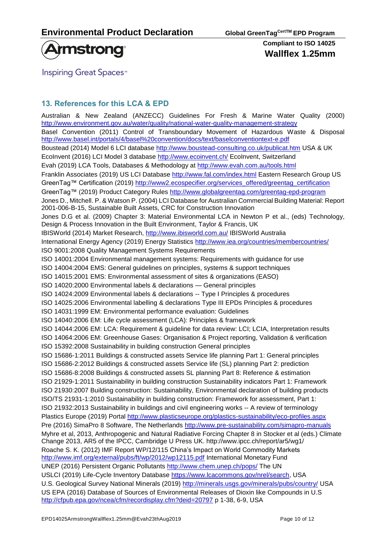

**Inspiring Great Spaces**<sup>™</sup>

## **13. References for this LCA & EPD**

Australian & New Zealand [\(ANZECC\) Guidelines For Fresh & Marine Water Quality](http://www.environment.gov.au/topics/water/water-quality/national-water-quality-management-strategy) (2000) <http://www.environment.gov.au/water/quality/national-water-quality-management-strategy> Basel Convention (2011) Control of Transboundary Movement of Hazardous Waste & Disposal <http://www.basel.int/portals/4/basel%20convention/docs/text/baselconventiontext-e.pdf> Boustead (2014) Model 6 LCI database<http://www.boustead-consulting.co.uk/publicat.htm> USA & UK EcoInvent (2016) LCI Model 3 database<http://www.ecoinvent.ch/> EcoInvent, Switzerland Evah (2019) LCA Tools, Databases & Methodology at<http://www.evah.com.au/tools.html> Franklin Associates (2019) US LCI Database <http://www.fal.com/index.html> Eastern Research Group US GreenTag™ Certification (2019) [http://www2.ecospecifier.org/services\\_offered/greentag\\_certification](http://www2.ecospecifier.org/services_offered/greentag_certification) GreenTag™ (2019) Product Category Rules<http://www.globalgreentag.com/greentag-epd-program> Jones D., Mitchell. P. & Watson P. (2004) LCI Database for Australian Commercial Building Material: Report 2001-006-B-15, Sustainable Built Assets, CRC for Construction Innovation Jones D.G et al. (2009) Chapter 3: Material Environmental LCA in Newton P et al., (eds) Technology, Design & Process Innovation in the Built Environment, Taylor & Francis, UK IBISWorld (2014) Market Research,<http://www.ibisworld.com.au/> IBISWorld Australia International Energy Agency (2019) Energy Statistics<http://www.iea.org/countries/membercountries/> ISO 9001:2008 Quality Management Systems Requirements ISO 14001:2004 Environmental management systems: Requirements with guidance for use ISO 14004:2004 EMS: General guidelines on principles, systems & support techniques ISO 14015:2001 EMS: Environmental assessment of sites & organizations (EASO) ISO 14020:2000 Environmental labels & declarations — General principles ISO 14024:2009 Environmental labels & declarations -- Type I Principles & procedures ISO 14025:2006 Environmental labelling & declarations Type III EPDs Principles & procedures ISO 14031:1999 EM: Environmental performance evaluation: Guidelines ISO 14040:2006 EM: Life cycle assessment (LCA): Principles & framework ISO 14044:2006 EM: LCA: Requirement & guideline for data review: LCI; LCIA, Interpretation results ISO 14064:2006 EM: Greenhouse Gases: Organisation & Project reporting, Validation & verification ISO 15392:2008 Sustainability in building construction General principles ISO 15686-1:2011 Buildings & constructed assets Service life planning Part 1: General principles ISO 15686-2:2012 Buildings & constructed assets Service life (SL) planning Part 2: prediction ISO 15686-8:2008 Buildings & constructed assets SL planning Part 8: Reference & estimation ISO 21929-1:2011 Sustainability in building construction Sustainability indicators Part 1: Framework ISO 21930:2007 Building construction: Sustainability, Environmental declaration of building products ISO/TS 21931-1:2010 Sustainability in building construction: Framework for assessment, Part 1: ISO 21932:2013 Sustainability in buildings and civil engineering works -- A review of terminology Plastics Europe (2019) Portal<http://www.plasticseurope.org/plastics-sustainability/eco-profiles.aspx> Pre (2016) SimaPro 8 Software, The Netherlands<http://www.pre-sustainability.com/simapro-manuals> Myhre et al, 2013, Anthropogenic and Natural Radiative Forcing Chapter 8 in Stocker et al (eds.) Climate Change 2013, AR5 of the IPCC, Cambridge U Press UK.<http://www.ipcc.ch/report/ar5/wg1/> Roache S. K. (2012) IMF Report WP/12/115 China's Impact on World Commodity Markets <http://www.imf.org/external/pubs/ft/wp/2012/wp12115.pdf> International Monetary Fund UNEP (2016) Persistent Organic Pollutants<http://www.chem.unep.ch/pops/> The UN USLCI (2019) Life-Cycle Inventory Database [https://www.lcacommons.gov/nrel/search,](https://www.lcacommons.gov/nrel/search) USA U.S. Geological Survey National Minerals (2019)<http://minerals.usgs.gov/minerals/pubs/country/> USA US EPA (2016) Database of Sources of Environmental Releases of Dioxin like Compounds in U.S <http://cfpub.epa.gov/ncea/cfm/recordisplay.cfm?deid=20797> p 1-38, 6-9, USA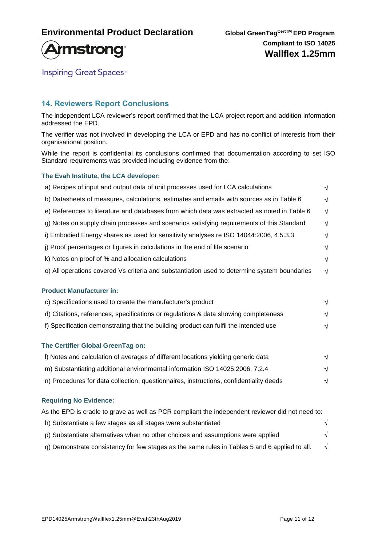

**Inspiring Great Spaces<sup>™</sup>** 

### **14. Reviewers Report Conclusions**

The independent LCA reviewer's report confirmed that the LCA project report and addition information addressed the EPD.

The verifier was not involved in developing the LCA or EPD and has no conflict of interests from their organisational position.

While the report is confidential its conclusions confirmed that documentation according to set ISO Standard requirements was provided including evidence from the:

#### **The Evah Institute, the LCA developer:**

| a) Recipes of input and output data of unit processes used for LCA calculations              | V          |  |
|----------------------------------------------------------------------------------------------|------------|--|
| b) Datasheets of measures, calculations, estimates and emails with sources as in Table 6     |            |  |
| e) References to literature and databases from which data was extracted as noted in Table 6  | $\sqrt{}$  |  |
| g) Notes on supply chain processes and scenarios satisfying requirements of this Standard    | $\sqrt{}$  |  |
| i) Embodied Energy shares as used for sensitivity analyses re ISO 14044:2006, 4.5.3.3        | $\sqrt{}$  |  |
| j) Proof percentages or figures in calculations in the end of life scenario                  | $\sqrt{}$  |  |
| k) Notes on proof of % and allocation calculations                                           | V          |  |
| o) All operations covered Vs criteria and substantiation used to determine system boundaries | $\sqrt{ }$ |  |
| <b>Product Manufacturer in:</b>                                                              |            |  |
| c) Specifications used to create the manufacturer's product                                  | $\sqrt{ }$ |  |
| d) Citations, references, specifications or regulations & data showing completeness          | $\sqrt{}$  |  |
| f) Specification demonstrating that the building product can fulfil the intended use         | V          |  |
| The Certifier Global GreenTag on:                                                            |            |  |
| I) Notes and calculation of averages of different locations yielding generic data            |            |  |

n) Procedures for data collection, questionnaires, instructions, confidentiality deeds  $\sqrt{}$ 

#### **Requiring No Evidence:**

As the EPD is cradle to grave as well as PCR compliant the independent reviewer did not need to: h) Substantiate a few stages as all stages were substantiated  $\sqrt{2}$ 

|  | p) Substantiate alternatives when no other choices and assumptions were applied |  |
|--|---------------------------------------------------------------------------------|--|

q) Demonstrate consistency for few stages as the same rules in Tables 5 and 6 applied to all.  $\sqrt{ }$